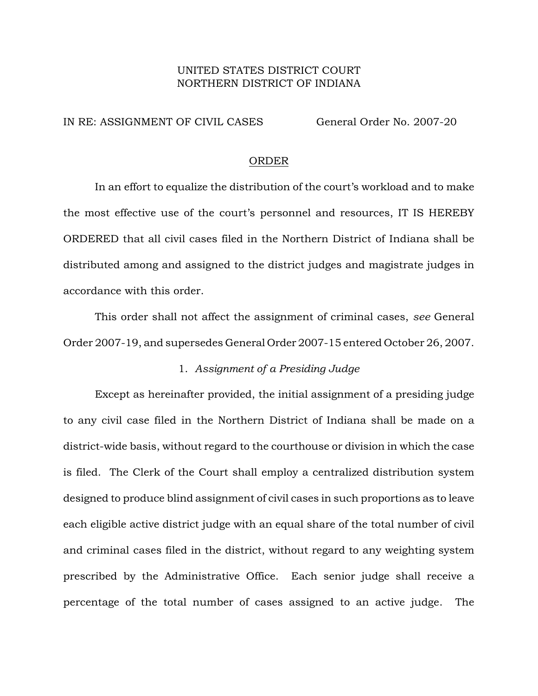# UNITED STATES DISTRICT COURT NORTHERN DISTRICT OF INDIANA

### IN RE: ASSIGNMENT OF CIVIL CASES General Order No. 2007-20

#### ORDER

In an effort to equalize the distribution of the court's workload and to make the most effective use of the court's personnel and resources, IT IS HEREBY ORDERED that all civil cases filed in the Northern District of Indiana shall be distributed among and assigned to the district judges and magistrate judges in accordance with this order.

This order shall not affect the assignment of criminal cases, *see* General Order 2007-19, and supersedes General Order 2007-15 entered October 26, 2007.

# 1. *Assignment of a Presiding Judge*

Except as hereinafter provided, the initial assignment of a presiding judge to any civil case filed in the Northern District of Indiana shall be made on a district-wide basis, without regard to the courthouse or division in which the case is filed. The Clerk of the Court shall employ a centralized distribution system designed to produce blind assignment of civil cases in such proportions as to leave each eligible active district judge with an equal share of the total number of civil and criminal cases filed in the district, without regard to any weighting system prescribed by the Administrative Office. Each senior judge shall receive a percentage of the total number of cases assigned to an active judge. The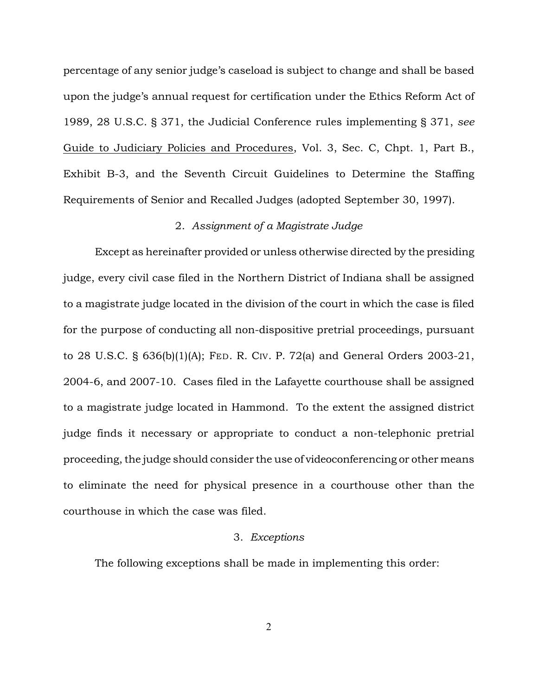percentage of any senior judge's caseload is subject to change and shall be based upon the judge's annual request for certification under the Ethics Reform Act of 1989, 28 U.S.C. § 371, the Judicial Conference rules implementing § 371, *see* Guide to Judiciary Policies and Procedures, Vol. 3, Sec. C, Chpt. 1, Part B., Exhibit B-3, and the Seventh Circuit Guidelines to Determine the Staffing Requirements of Senior and Recalled Judges (adopted September 30, 1997).

#### 2. *Assignment of a Magistrate Judge*

Except as hereinafter provided or unless otherwise directed by the presiding judge, every civil case filed in the Northern District of Indiana shall be assigned to a magistrate judge located in the division of the court in which the case is filed for the purpose of conducting all non-dispositive pretrial proceedings, pursuant to 28 U.S.C. § 636(b)(1)(A); FED. R. CIV. P. 72(a) and General Orders 2003-21, 2004-6, and 2007-10. Cases filed in the Lafayette courthouse shall be assigned to a magistrate judge located in Hammond. To the extent the assigned district judge finds it necessary or appropriate to conduct a non-telephonic pretrial proceeding, the judge should consider the use of videoconferencing or other means to eliminate the need for physical presence in a courthouse other than the courthouse in which the case was filed.

# 3. *Exceptions*

The following exceptions shall be made in implementing this order: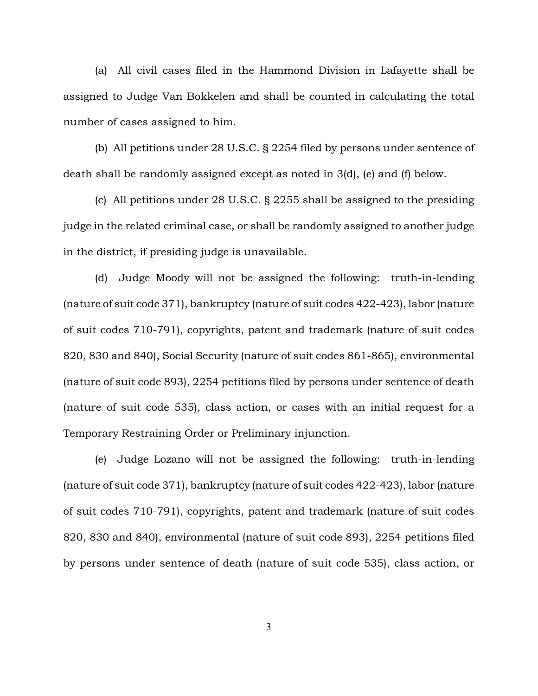(a) All civil cases filed in the Hammond Division in Lafayette shall be assigned to Judge Van Bokkelen and shall be counted in calculating the total number of cases assigned to him.

(b) All petitions under 28 U.S.C. § 2254 filed by persons under sentence of death shall be randomly assigned except as noted in 3(d), (e) and (f) below.

(c) All petitions under 28 U.S.C. § 2255 shall be assigned to the presiding judge in the related criminal case, or shall be randomly assigned to another judge in the district, if presiding judge is unavailable.

(d) Judge Moody will not be assigned the following: truth-in-lending (nature of suit code 371), bankruptcy (nature of suit codes 422-423), labor (nature of suit codes 710-791), copyrights, patent and trademark (nature of suit codes 820, 830 and 840), Social Security (nature of suit codes 861-865), environmental (nature of suit code 893), 2254 petitions filed by persons under sentence of death (nature of suit code 535), class action, or cases with an initial request for a Temporary Restraining Order or Preliminary injunction.

(e) Judge Lozano will not be assigned the following: truth-in-lending (nature of suit code 371), bankruptcy (nature of suit codes 422-423), labor (nature of suit codes 710-791), copyrights, patent and trademark (nature of suit codes 820, 830 and 840), environmental (nature of suit code 893), 2254 petitions filed by persons under sentence of death (nature of suit code 535), class action, or

3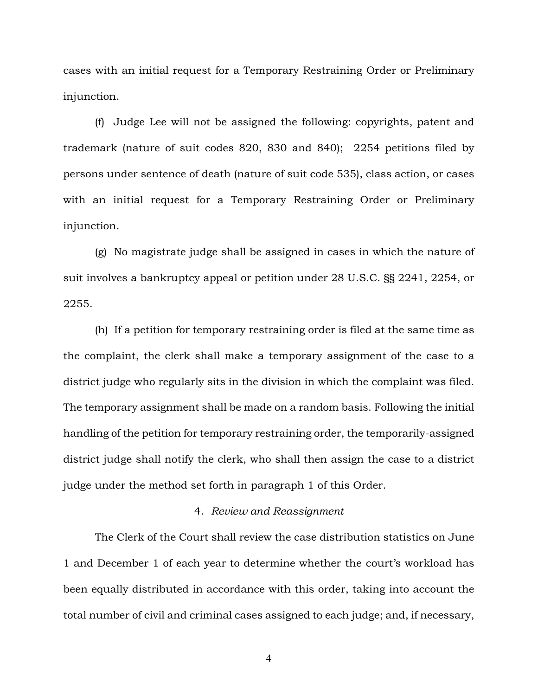cases with an initial request for a Temporary Restraining Order or Preliminary injunction.

(f) Judge Lee will not be assigned the following: copyrights, patent and trademark (nature of suit codes 820, 830 and 840); 2254 petitions filed by persons under sentence of death (nature of suit code 535), class action, or cases with an initial request for a Temporary Restraining Order or Preliminary injunction.

(g) No magistrate judge shall be assigned in cases in which the nature of suit involves a bankruptcy appeal or petition under 28 U.S.C. §§ 2241, 2254, or 2255.

(h) If a petition for temporary restraining order is filed at the same time as the complaint, the clerk shall make a temporary assignment of the case to a district judge who regularly sits in the division in which the complaint was filed. The temporary assignment shall be made on a random basis. Following the initial handling of the petition for temporary restraining order, the temporarily-assigned district judge shall notify the clerk, who shall then assign the case to a district judge under the method set forth in paragraph 1 of this Order.

#### 4. *Review and Reassignment*

The Clerk of the Court shall review the case distribution statistics on June 1 and December 1 of each year to determine whether the court's workload has been equally distributed in accordance with this order, taking into account the total number of civil and criminal cases assigned to each judge; and, if necessary,

4